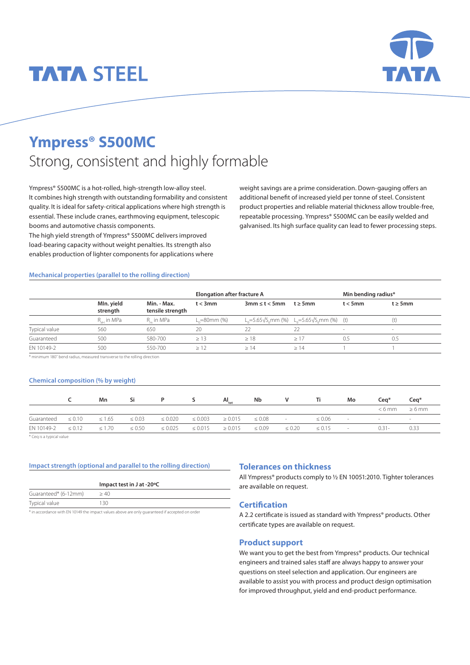# **TATA STEEL**



# **Ympress® S500MC** Strong, consistent and highly formable

Ympress® S500MC is a hot-rolled, high-strength low-alloy steel. It combines high strength with outstanding formability and consistent quality. It is ideal for safety-critical applications where high strength is essential. These include cranes, earthmoving equipment, telescopic booms and automotive chassis components.

The high yield strength of Ympress® S500MC delivers improved load-bearing capacity without weight penalties. Its strength also enables production of lighter components for applications where weight savings are a prime consideration. Down-gauging offers an additional benefit of increased yield per tonne of steel. Consistent product properties and reliable material thickness allow trouble-free, repeatable processing. Ympress® S500MC can be easily welded and galvanised. Its high surface quality can lead to fewer processing steps.

#### **Mechanical properties (parallel to the rolling direction)**

|               |                         |                                 | <b>Elongation after fracture A</b> |                       | Min bending radius*                                                                       |                          |               |
|---------------|-------------------------|---------------------------------|------------------------------------|-----------------------|-------------------------------------------------------------------------------------------|--------------------------|---------------|
|               | MIn. yield<br>strength  | Min. - Max.<br>tensile strength | $t < 3$ mm                         | $3mm \leq t \leq 5mm$ | $t \geq 5$ mm                                                                             | $t < 5$ mm               | $t \geq 5$ mm |
|               | R <sub>.</sub> , in MPa | R_ in MPa                       | $L = 80$ mm $(%)$                  |                       | L <sub>o</sub> =5.65√S <sub>o</sub> mm (%) L <sub>o</sub> =5.65√S <sub>o</sub> mm (%) (t) |                          | (t)           |
| Typical value | 560                     | 650                             | 20                                 |                       | 22                                                                                        | $\overline{\phantom{a}}$ |               |
| Guaranteed    | 500                     | 580-700                         | $\geq$ 13                          | >18                   | >17                                                                                       | 0.5                      | 0.5           |
| EN 10149-2    | 500                     | 550-700                         | >12                                | >14                   | >14                                                                                       |                          |               |

\* minimum 180˚ bend radius, measured transverse to the rolling direction

#### **Chemical composition (% by weight)**

|                                                |             | Mn                    | Si |              |              | $AI_{\text{tot}}$ | Nb          | <b>Solution Structure Ti</b> |                                | Mo             | Cea <sup>*</sup>            | $Cea*$                   |
|------------------------------------------------|-------------|-----------------------|----|--------------|--------------|-------------------|-------------|------------------------------|--------------------------------|----------------|-----------------------------|--------------------------|
|                                                |             |                       |    |              |              |                   |             |                              |                                |                | $< 6$ mm                    | $\geq 6$ mm              |
| Guaranteed                                     | $\leq 0.10$ | $\leq 1.65 \leq 0.03$ |    | $\leq 0.020$ | $\leq 0.003$ | $\geq 0.015$      | $\leq 0.08$ | and the second state         | $\leq 0.06$                    | $\sim$ 10 $\,$ | and the control of the con- | <b>Contract Contract</b> |
| EN 10149-2 $\leq$ 0.12 $\leq$ 1.70 $\leq$ 0.50 |             |                       |    | $\leq 0.025$ | $\leq 0.015$ | $\geq 0.015$      | $\leq 0.09$ |                              | $\leq 0.20$ $\leq 0.15$ $\leq$ |                | $0.31 -$                    | 0.33                     |

\* Ceq is a typical value

#### **Impact strength (optional and parallel to the rolling direction)**

|                      | Impact test in J at -20°C |
|----------------------|---------------------------|
| Guaranteed* (6-12mm) | >40                       |
| Typical value        | 130                       |

in accordance with EN 10149 the impact values above are only quaranteed if accepted on order

#### **Tolerances on thickness**

All Ympress® products comply to ½ EN 10051:2010. Tighter tolerances are available on request.

### **Certification**

A 2.2 certificate is issued as standard with Ympress® products. Other certificate types are available on request.

#### **Product support**

We want you to get the best from Ympress® products. Our technical engineers and trained sales staff are always happy to answer your questions on steel selection and application. Our engineers are available to assist you with process and product design optimisation for improved throughput, yield and end-product performance.